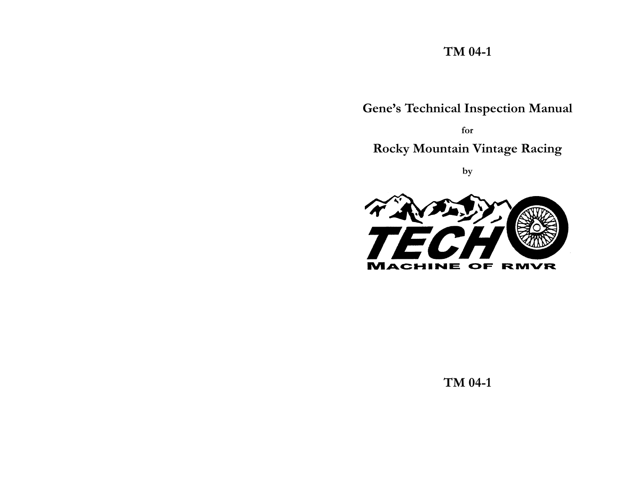# **TM 04-1**

**Gene's Technical Inspection Manual**

**for Rocky Mountain Vintage Racing**

**by**



**TM 04-1**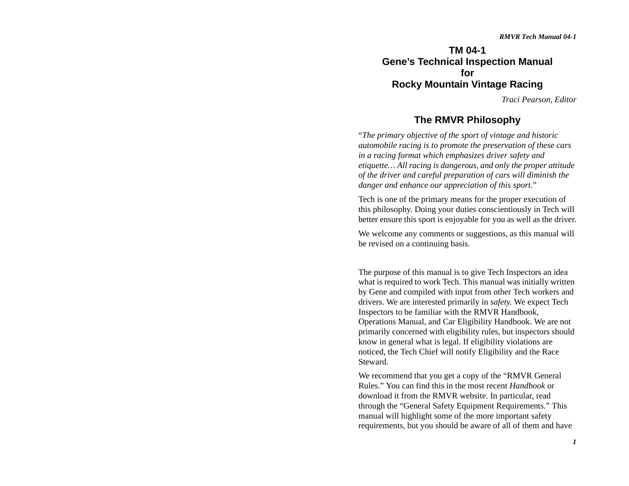**TM 04-1Gene's Technical Inspection Manual forRocky Mountain Vintage Racing**

*Traci Pearson, Editor*

## **The RMVR Philosophy**

"*The primary objective of the sport of vintage and historic automobile racing is to promote the preservation of these cars in a racing format which emphasizes driver safety and etiquette… All racing is dangerous, and only the proper attitude of the driver and careful preparation of cars will diminish the danger and enhance our appreciation of this sport*."

Tech is one of the primary means for the proper execution of this philosophy. Doing your duties conscientiously in Tech will better ensure this sport is enjoyable for you as well as the driver.

We welcome any comments or suggestions, as this manual will be revised on a continuing basis.

The purpose of this manual is to give Tech Inspectors an idea what is required to work Tech. This manual was initially written by Gene and compiled with input from other Tech workers and drivers. We are interested primarily in *safety*. We expect Tech Inspectors to be familiar with the RMVR Handbook, Operations Manual, and Car Eligibility Handbook. We are not primarily concerned with eligibility rules, but inspectors should know in general what is legal. If eligibility violations are noticed, the Tech Chief will notify Eligibility and the Race Steward.

We recommend that you get a copy of the "RMVR General Rules." You can find this in the most recent *Handbook* or download it from the RMVR website. In particular, read through the "General Safety Equipment Requirements." This manual will highlight some of the more important safety requirements, but you should be aware of all of them and have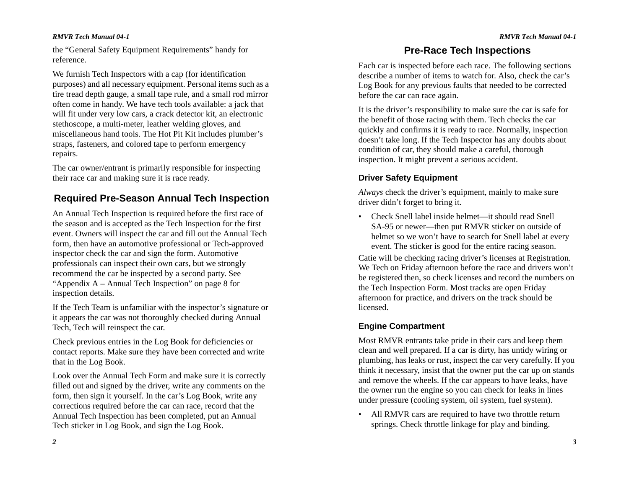the "General Safety Equipment Requirements" handy for reference.

We furnish Tech Inspectors with a cap (for identification purposes) and all necessary equipment. Personal items such as a tire tread depth gauge, a small tape rule, and a small rod mirror often come in handy. We have tech tools available: a jack that will fit under very low cars, a crack detector kit, an electronic stethoscope, a multi-meter, leather welding gloves, and miscellaneous hand tools. The Hot Pit Kit includes plumber's straps, fasteners, and colored tape to perform emergency repairs.

The car owner/entrant is primarily responsible for inspecting their race car and making sure it is race ready.

## **Required Pre-Season Annual Tech Inspection**

An Annual Tech Inspection is required before the first race of the season and is accepted as the Tech Inspection for the first event. Owners will inspect the car and fill out the Annual Tech form, then have an automotive professional or Tech-approved inspector check the car and sign the form. Automotive professionals can inspect their own cars, but we strongly recommend the car be inspected by a second party. See "Appendix A – Annual Tech Inspection" on page 8 for inspection details.

If the Tech Team is unfamiliar with the inspector's signature or it appears the car was not thoroughly checked during Annual Tech, Tech will reinspect the car.

Check previous entries in the Log Book for deficiencies or contact reports. Make sure they have been corrected and write that in the Log Book.

Look over the Annual Tech Form and make sure it is correctly filled out and signed by the driver, write any comments on the form, then sign it yourself. In the car's Log Book, write any corrections required before the car can race, record that the Annual Tech Inspection has been completed, put an Annual Tech sticker in Log Book, and sign the Log Book.

## **Pre-Race Tech Inspections**

Each car is inspected before each race. The following sections describe a number of items to watch for. Also, check the car's Log Book for any previous faults that needed to be corrected before the car can race again.

It is the driver's responsibility to make sure the car is safe for the benefit of those racing with them. Tech checks the car quickly and confirms it is ready to race. Normally, inspection doesn't take long. If the Tech Inspector has any doubts about condition of car, they should make a careful, thorough inspection. It might prevent a serious accident.

## **Driver Safety Equipment**

*Always* check the driver's equipment, mainly to make sure driver didn't forget to bring it.

• Check Snell label inside helmet—it should read Snell SA-95 or newer—then put RMVR sticker on outside of helmet so we won't have to search for Snell label at every event. The sticker is good for the entire racing season.

Catie will be checking racing driver's licenses at Registration. We Tech on Friday afternoon before the race and drivers won't be registered then, so check licenses and record the numbers on the Tech Inspection Form. Most tracks are open Friday afternoon for practice, and drivers on the track should be licensed.

### **Engine Compartment**

Most RMVR entrants take pride in their cars and keep them clean and well prepared. If a car is dirty, has untidy wiring or plumbing, has leaks or rust, inspect the car very carefully. If you think it necessary, insist that the owner put the car up on stands and remove the wheels. If the car appears to have leaks, have the owner run the engine so you can check for leaks in lines under pressure (cooling system, oil system, fuel system).

• All RMVR cars are required to have two throttle return springs. Check throttle linkage for play and binding.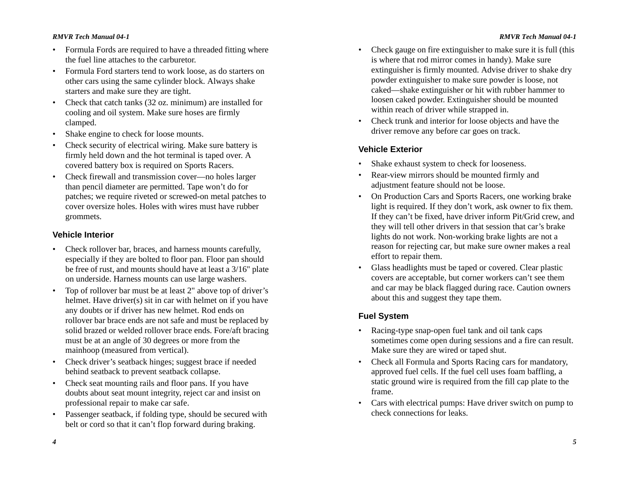#### *RMVR Tech Manual 04-1*

- Formula Fords are required to have a threaded fitting where the fuel line attaches to the carburetor.
- Formula Ford starters tend to work loose, as do starters on other cars using the same cylinder block. Always shake starters and make sure they are tight.
- • Check that catch tanks (32 oz. minimum) are installed for cooling and oil system. Make sure hoses are firmly clamped.
- •Shake engine to check for loose mounts.
- Check security of electrical wiring. Make sure battery is firmly held down and the hot terminal is taped over. A covered battery box is required on Sports Racers.
- Check firewall and transmission cover—no holes larger than pencil diameter are permitted. Tape won't do for patches; we require riveted or screwed-on metal patches to cover oversize holes. Holes with wires must have rubber grommets.

#### **Vehicle Interior**

- Check rollover bar, braces, and harness mounts carefully, especially if they are bolted to floor pan. Floor pan should be free of rust, and mounts should have at least a 3/16" plate on underside. Harness mounts can use large washers.
- • Top of rollover bar must be at least 2" above top of driver's helmet. Have driver(s) sit in car with helmet on if you have any doubts or if driver has new helmet. Rod ends on rollover bar brace ends are not safe and must be replaced by solid brazed or welded rollover brace ends. Fore/aft bracing must be at an angle of 30 degrees or more from the mainhoop (measured from vertical).
- • Check driver's seatback hinges; suggest brace if needed behind seatback to prevent seatback collapse.
- Check seat mounting rails and floor pans. If you have doubts about seat mount integrity, reject car and insist on professional repair to make car safe.
- • Passenger seatback, if folding type, should be secured with belt or cord so that it can't flop forward during braking.
- Check gauge on fire extinguisher to make sure it is full (this is where that rod mirror comes in handy). Make sure extinguisher is firmly mounted. Advise driver to shake dry powder extinguisher to make sure powder is loose, not caked—shake extinguisher or hit with rubber hammer to loosen caked powder. Extinguisher should be mounted within reach of driver while strapped in.
- Check trunk and interior for loose objects and have the driver remove any before car goes on track.

### **Vehicle Exterior**

- •Shake exhaust system to check for looseness.
- • Rear-view mirrors should be mounted firmly and adjustment feature should not be loose.
- On Production Cars and Sports Racers, one working brake light is required. If they don't work, ask owner to fix them. If they can't be fixed, have driver inform Pit/Grid crew, and they will tell other drivers in that session that car's brake lights do not work. Non-working brake lights are not a reason for rejecting car, but make sure owner makes a real effort to repair them.
- Glass headlights must be taped or covered. Clear plastic covers are acceptable, but corner workers can't see them and car may be black flagged during race. Caution owners about this and suggest they tape them.

#### **Fuel System**

- Racing-type snap-open fuel tank and oil tank caps sometimes come open during sessions and a fire can result. Make sure they are wired or taped shut.
- Check all Formula and Sports Racing cars for mandatory, approved fuel cells. If the fuel cell uses foam baffling, a static ground wire is required from the fill cap plate to the frame.
- Cars with electrical pumps: Have driver switch on pump to check connections for leaks.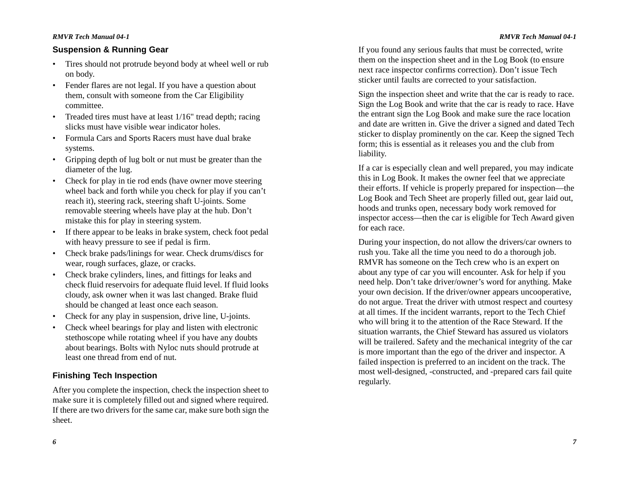#### *RMVR Tech Manual 04-1*

### **Suspension & Running Gear**

- Tires should not protrude beyond body at wheel well or rub on body.
- • Fender flares are not legal. If you have a question about them, consult with someone from the Car Eligibility committee.
- • Treaded tires must have at least 1/16" tread depth; racing slicks must have visible wear indicator holes.
- Formula Cars and Sports Racers must have dual brake systems.
- Gripping depth of lug bolt or nut must be greater than the diameter of the lug.
- Check for play in tie rod ends (have owner move steering wheel back and forth while you check for play if you can't reach it), steering rack, steering shaft U-joints. Some removable steering wheels have play at the hub. Don't mistake this for play in steering system.
- • If there appear to be leaks in brake system, check foot pedal with heavy pressure to see if pedal is firm.
- Check brake pads/linings for wear. Check drums/discs for wear, rough surfaces, glaze, or cracks.
- Check brake cylinders, lines, and fittings for leaks and check fluid reservoirs for adequate fluid level. If fluid looks cloudy, ask owner when it was last changed. Brake fluid should be changed at least once each season.
- Check for any play in suspension, drive line, U-joints.
- • Check wheel bearings for play and listen with electronic stethoscope while rotating wheel if you have any doubts about bearings. Bolts with Nyloc nuts should protrude at least one thread from end of nut.

### **Finishing Tech Inspection**

After you complete the inspection, check the inspection sheet to make sure it is completely filled out and signed where required. If there are two drivers for the same car, make sure both sign the sheet.

*6*

If you found any serious faults that must be corrected, write them on the inspection sheet and in the Log Book (to ensure next race inspector confirms correction). Don't issue Tech sticker until faults are corrected to your satisfaction.

Sign the inspection sheet and write that the car is ready to race. Sign the Log Book and write that the car is ready to race. Have the entrant sign the Log Book and make sure the race location and date are written in. Give the driver a signed and dated Tech sticker to display prominently on the car. Keep the signed Tech form; this is essential as it releases you and the club from liability.

If a car is especially clean and well prepared, you may indicate this in Log Book. It makes the owner feel that we appreciate their efforts. If vehicle is properly prepared for inspection—the Log Book and Tech Sheet are properly filled out, gear laid out, hoods and trunks open, necessary body work removed for inspector access—then the car is eligible for Tech Award given for each race.

During your inspection, do not allow the drivers/car owners to rush you. Take all the time you need to do a thorough job. RMVR has someone on the Tech crew who is an expert on about any type of car you will encounter. Ask for help if you need help. Don't take driver/owner's word for anything. Make your own decision. If the driver/owner appears uncooperative, do not argue. Treat the driver with utmost respect and courtesy at all times. If the incident warrants, report to the Tech Chief who will bring it to the attention of the Race Steward. If the situation warrants, the Chief Steward has assured us violators will be trailered. Safety and the mechanical integrity of the car is more important than the ego of the driver and inspector. A failed inspection is preferred to an incident on the track. The most well-designed, -constructed, and -prepared cars fail quite regularly.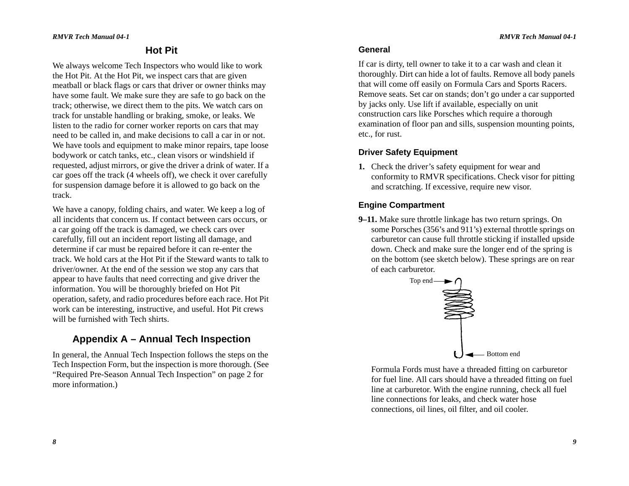## **Hot Pit**

We always welcome Tech Inspectors who would like to work the Hot Pit. At the Hot Pit, we inspect cars that are given meatball or black flags or cars that driver or owner thinks may have some fault. We make sure they are safe to go back on the track; otherwise, we direct them to the pits. We watch cars on track for unstable handling or braking, smoke, or leaks. We listen to the radio for corner worker reports on cars that may need to be called in, and make decisions to call a car in or not. We have tools and equipment to make minor repairs, tape loose bodywork or catch tanks, etc., clean visors or windshield if requested, adjust mirrors, or give the driver a drink of water. If a car goes off the track (4 wheels off), we check it over carefully for suspension damage before it is allowed to go back on the track.

We have a canopy, folding chairs, and water. We keep a log of all incidents that concern us. If contact between cars occurs, or a car going off the track is damaged, we check cars over carefully, fill out an incident report listing all damage, and determine if car must be repaired before it can re-enter the track. We hold cars at the Hot Pit if the Steward wants to talk to driver/owner. At the end of the session we stop any cars that appear to have faults that need correcting and give driver the information. You will be thoroughly briefed on Hot Pit operation, safety, and radio procedures before each race. Hot Pit work can be interesting, instructive, and useful. Hot Pit crews will be furnished with Tech shirts.

## **Appendix A – Annual Tech Inspection**

In general, the Annual Tech Inspection follows the steps on the Tech Inspection Form, but the inspection is more thorough. (See "Required Pre-Season Annual Tech Inspection" on page 2 for more information.)

### **General**

If car is dirty, tell owner to take it to a car wash and clean it thoroughly. Dirt can hide a lot of faults. Remove all body panels that will come off easily on Formula Cars and Sports Racers. Remove seats. Set car on stands; don't go under a car supported by jacks only. Use lift if available, especially on unit construction cars like Porsches which require a thorough examination of floor pan and sills, suspension mounting points, etc., for rust.

### **Driver Safety Equipment**

**1.** Check the driver's safety equipment for wear and conformity to RMVR specifications. Check visor for pitting and scratching. If excessive, require new visor.

### **Engine Compartment**

**9–11.** Make sure throttle linkage has two return springs. On some Porsches (356's and 911's) external throttle springs on carburetor can cause full throttle sticking if installed upside down. Check and make sure the longer end of the spring is on the bottom (see sketch below). These springs are on rear of each carburetor.



Formula Fords must have a threaded fitting on carburetor for fuel line. All cars should have a threaded fitting on fuel line at carburetor. With the engine running, check all fuel line connections for leaks, and check water hose connections, oil lines, oil filter, and oil cooler.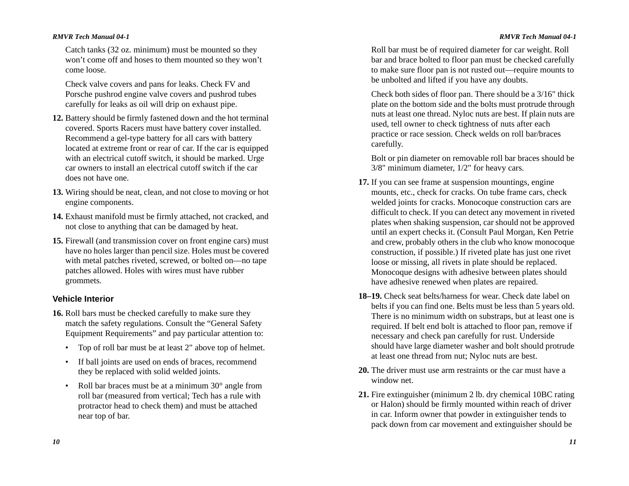Catch tanks (32 oz. minimum) must be mounted so they won't come off and hoses to them mounted so they won't come loose.

Check valve covers and pans for leaks. Check FV and Porsche pushrod engine valve covers and pushrod tubes carefully for leaks as oil will drip on exhaust pipe.

- **12.** Battery should be firmly fastened down and the hot terminal covered. Sports Racers must have battery cover installed. Recommend a gel-type battery for all cars with battery located at extreme front or rear of car. If the car is equipped with an electrical cutoff switch, it should be marked. Urge car owners to install an electrical cutoff switch if the car does not have one.
- **13.** Wiring should be neat, clean, and not close to moving or hot engine components.
- **14.** Exhaust manifold must be firmly attached, not cracked, and not close to anything that can be damaged by heat.
- **15.** Firewall (and transmission cover on front engine cars) must have no holes larger than pencil size. Holes must be covered with metal patches riveted, screwed, or bolted on—no tape patches allowed. Holes with wires must have rubber grommets.

### **Vehicle Interior**

- **16.** Roll bars must be checked carefully to make sure they match the safety regulations. Consult the "General Safety Equipment Requirements" and pay particular attention to:
	- Top of roll bar must be at least 2" above top of helmet.
	- If ball joints are used on ends of braces, recommend they be replaced with solid welded joints.
	- • Roll bar braces must be at a minimum 30° angle from roll bar (measured from vertical; Tech has a rule with protractor head to check them) and must be attached near top of bar.

Roll bar must be of required diameter for car weight. Roll bar and brace bolted to floor pan must be checked carefully to make sure floor pan is not rusted out—require mounts to be unbolted and lifted if you have any doubts.

Check both sides of floor pan. There should be a 3/16" thick plate on the bottom side and the bolts must protrude through nuts at least one thread. Nyloc nuts are best. If plain nuts are used, tell owner to check tightness of nuts after each practice or race session. Check welds on roll bar/braces carefully.

Bolt or pin diameter on removable roll bar braces should be 3/8" minimum diameter, 1/2" for heavy cars.

- **17.** If you can see frame at suspension mountings, engine mounts, etc., check for cracks. On tube frame cars, check welded joints for cracks. Monocoque construction cars are difficult to check. If you can detect any movement in riveted plates when shaking suspension, car should not be approved until an expert checks it. (Consult Paul Morgan, Ken Petrie and crew, probably others in the club who know monocoque construction, if possible.) If riveted plate has just one rivet loose or missing, all rivets in plate should be replaced. Monocoque designs with adhesive between plates should have adhesive renewed when plates are repaired.
- **18–19.** Check seat belts/harness for wear. Check date label on belts if you can find one. Belts must be less than 5 years old. There is no minimum width on substraps, but at least one is required. If belt end bolt is attached to floor pan, remove if necessary and check pan carefully for rust. Underside should have large diameter washer and bolt should protrude at least one thread from nut; Nyloc nuts are best.
- **20.** The driver must use arm restraints or the car must have a window net.
- **21.** Fire extinguisher (minimum 2 lb. dry chemical 10BC rating or Halon) should be firmly mounted within reach of driver in car. Inform owner that powder in extinguisher tends to pack down from car movement and extinguisher should be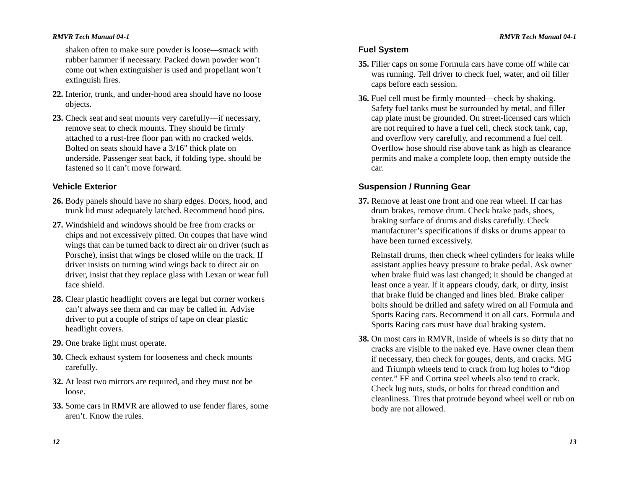shaken often to make sure powder is loose—smack with rubber hammer if necessary. Packed down powder won't come out when extinguisher is used and propellant won't extinguish fires.

- **22.** Interior, trunk, and under-hood area should have no loose objects.
- **23.** Check seat and seat mounts very carefully—if necessary, remove seat to check mounts. They should be firmly attached to a rust-free floor pan with no cracked welds. Bolted on seats should have a 3/16" thick plate on underside. Passenger seat back, if folding type, should be fastened so it can't move forward.

### **Vehicle Exterior**

- **26.** Body panels should have no sharp edges. Doors, hood, and trunk lid must adequately latched. Recommend hood pins.
- **27.** Windshield and windows should be free from cracks or chips and not excessively pitted. On coupes that have wind wings that can be turned back to direct air on driver (such as Porsche), insist that wings be closed while on the track. If driver insists on turning wind wings back to direct air on driver, insist that they replace glass with Lexan or wear full face shield.
- **28.** Clear plastic headlight covers are legal but corner workers can't always see them and car may be called in. Advise driver to put a couple of strips of tape on clear plastic headlight covers.
- **29.** One brake light must operate.
- **30.** Check exhaust system for looseness and check mounts carefully.
- **32.** At least two mirrors are required, and they must not be loose.
- **33.** Some cars in RMVR are allowed to use fender flares, some aren't. Know the rules.

### **Fuel System**

- **35.** Filler caps on some Formula cars have come off while car was running. Tell driver to check fuel, water, and oil filler caps before each session.
- **36.** Fuel cell must be firmly mounted—check by shaking. Safety fuel tanks must be surrounded by metal, and filler cap plate must be grounded. On street-licensed cars which are not required to have a fuel cell, check stock tank, cap, and overflow very carefully, and recommend a fuel cell. Overflow hose should rise above tank as high as clearance permits and make a complete loop, then empty outside the car.

### **Suspension / Running Gear**

**37.** Remove at least one front and one rear wheel. If car has drum brakes, remove drum. Check brake pads, shoes, braking surface of drums and disks carefully. Check manufacturer's specifications if disks or drums appear to have been turned excessively.

Reinstall drums, then check wheel cylinders for leaks while assistant applies heavy pressure to brake pedal. Ask owner when brake fluid was last changed; it should be changed at least once a year. If it appears cloudy, dark, or dirty, insist that brake fluid be changed and lines bled. Brake caliper bolts should be drilled and safety wired on all Formula and Sports Racing cars. Recommend it on all cars. Formula and Sports Racing cars must have dual braking system.

**38.** On most cars in RMVR, inside of wheels is so dirty that no cracks are visible to the naked eye. Have owner clean them if necessary, then check for gouges, dents, and cracks. MG and Triumph wheels tend to crack from lug holes to "drop center." FF and Cortina steel wheels also tend to crack. Check lug nuts, studs, or bolts for thread condition and cleanliness. Tires that protrude beyond wheel well or rub on body are not allowed.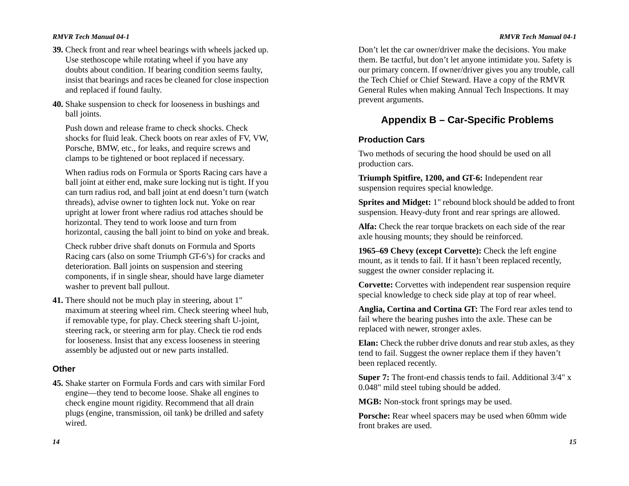#### *RMVR Tech Manual 04-1*

- **39.** Check front and rear wheel bearings with wheels jacked up. Use stethoscope while rotating wheel if you have any doubts about condition. If bearing condition seems faulty, insist that bearings and races be cleaned for close inspection and replaced if found faulty.
- **40.** Shake suspension to check for looseness in bushings and ball joints.

Push down and release frame to check shocks. Check shocks for fluid leak. Check boots on rear axles of FV, VW, Porsche, BMW, etc., for leaks, and require screws and clamps to be tightened or boot replaced if necessary.

When radius rods on Formula or Sports Racing cars have a ball joint at either end, make sure locking nut is tight. If you can turn radius rod, and ball joint at end doesn't turn (watch threads), advise owner to tighten lock nut. Yoke on rear upright at lower front where radius rod attaches should be horizontal. They tend to work loose and turn from horizontal, causing the ball joint to bind on yoke and break.

Check rubber drive shaft donuts on Formula and Sports Racing cars (also on some Triumph GT-6's) for cracks and deterioration. Ball joints on suspension and steering components, if in single shear, should have large diameter washer to prevent ball pullout.

**41.** There should not be much play in steering, about 1" maximum at steering wheel rim. Check steering wheel hub, if removable type, for play. Check steering shaft U-joint, steering rack, or steering arm for play. Check tie rod ends for looseness. Insist that any excess looseness in steering assembly be adjusted out or new parts installed.

#### **Other**

**45.** Shake starter on Formula Fords and cars with similar Ford engine—they tend to become loose. Shake all engines to check engine mount rigidity. Recommend that all drain plugs (engine, transmission, oil tank) be drilled and safety wired.

Don't let the car owner/driver make the decisions. You make them. Be tactful, but don't let anyone intimidate you. Safety is our primary concern. If owner/driver gives you any trouble, call the Tech Chief or Chief Steward. Have a copy of the RMVR General Rules when making Annual Tech Inspections. It may prevent arguments.

## **Appendix B – Car-Specific Problems**

### **Production Cars**

Two methods of securing the hood should be used on all production cars.

**Triumph Spitfire, 1200, and GT-6:** Independent rear suspension requires special knowledge.

**Sprites and Midget:** 1" rebound block should be added to front suspension. Heavy-duty front and rear springs are allowed.

**Alfa:** Check the rear torque brackets on each side of the rear axle housing mounts; they should be reinforced.

**1965–69 Chevy (except Corvette):** Check the left engine mount, as it tends to fail. If it hasn't been replaced recently, suggest the owner consider replacing it.

**Corvette:** Corvettes with independent rear suspension require special knowledge to check side play at top of rear wheel.

**Anglia, Cortina and Cortina GT:** The Ford rear axles tend to fail where the bearing pushes into the axle. These can be replaced with newer, stronger axles.

**Elan:** Check the rubber drive donuts and rear stub axles, as they tend to fail. Suggest the owner replace them if they haven't been replaced recently.

**Super 7:** The front-end chassis tends to fail. Additional  $3/4$ " x 0.048" mild steel tubing should be added.

**MGB:** Non-stock front springs may be used.

**Porsche:** Rear wheel spacers may be used when 60mm wide front brakes are used.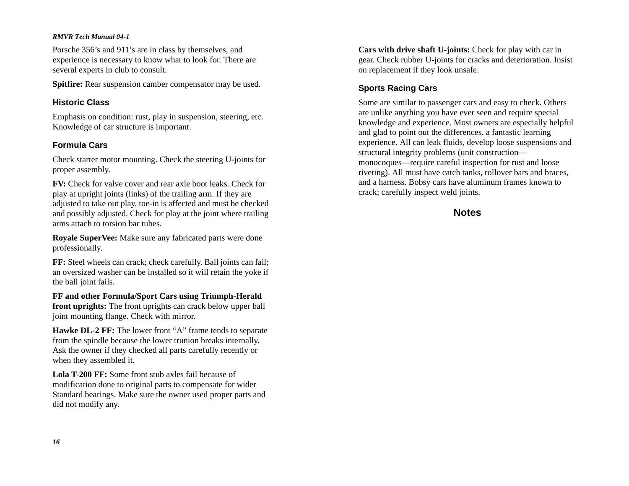Porsche 356's and 911's are in class by themselves, and experience is necessary to know what to look for. There are several experts in club to consult.

**Spitfire:** Rear suspension camber compensator may be used.

#### **Historic Class**

Emphasis on condition: rust, play in suspension, steering, etc. Knowledge of car structure is important.

### **Formula Cars**

Check starter motor mounting. Check the steering U-joints for proper assembly.

**FV:** Check for valve cover and rear axle boot leaks. Check for play at upright joints (links) of the trailing arm. If they are adjusted to take out play, toe-in is affected and must be checked and possibly adjusted. Check for play at the joint where trailing arms attach to torsion bar tubes.

**Royale SuperVee:** Make sure any fabricated parts were done professionally.

**FF:** Steel wheels can crack; check carefully. Ball joints can fail; an oversized washer can be installed so it will retain the yoke if the ball joint fails.

**FF and other Formula/Sport Cars using Triumph-Herald front uprights:** The front uprights can crack below upper ball joint mounting flange. Check with mirror.

**Hawke DL-2 FF:** The lower front "A" frame tends to separate from the spindle because the lower trunion breaks internally. Ask the owner if they checked all parts carefully recently or when they assembled it.

**Lola T-200 FF:** Some front stub axles fail because of modification done to original parts to compensate for wider Standard bearings. Make sure the owner used proper parts and did not modify any.

**Cars with drive shaft U-joints:** Check for play with car in gear. Check rubber U-joints for cracks and deterioration. Insist on replacement if they look unsafe.

### **Sports Racing Cars**

Some are similar to passenger cars and easy to check. Others are unlike anything you have ever seen and require special knowledge and experience. Most owners are especially helpful and glad to point out the differences, a fantastic learning experience. All can leak fluids, develop loose suspensions and structural integrity problems (unit construction monocoques—require careful inspection for rust and loose riveting). All must have catch tanks, rollover bars and braces, and a harness. Bobsy cars have aluminum frames known to crack; carefully inspect weld joints.

### **Notes**